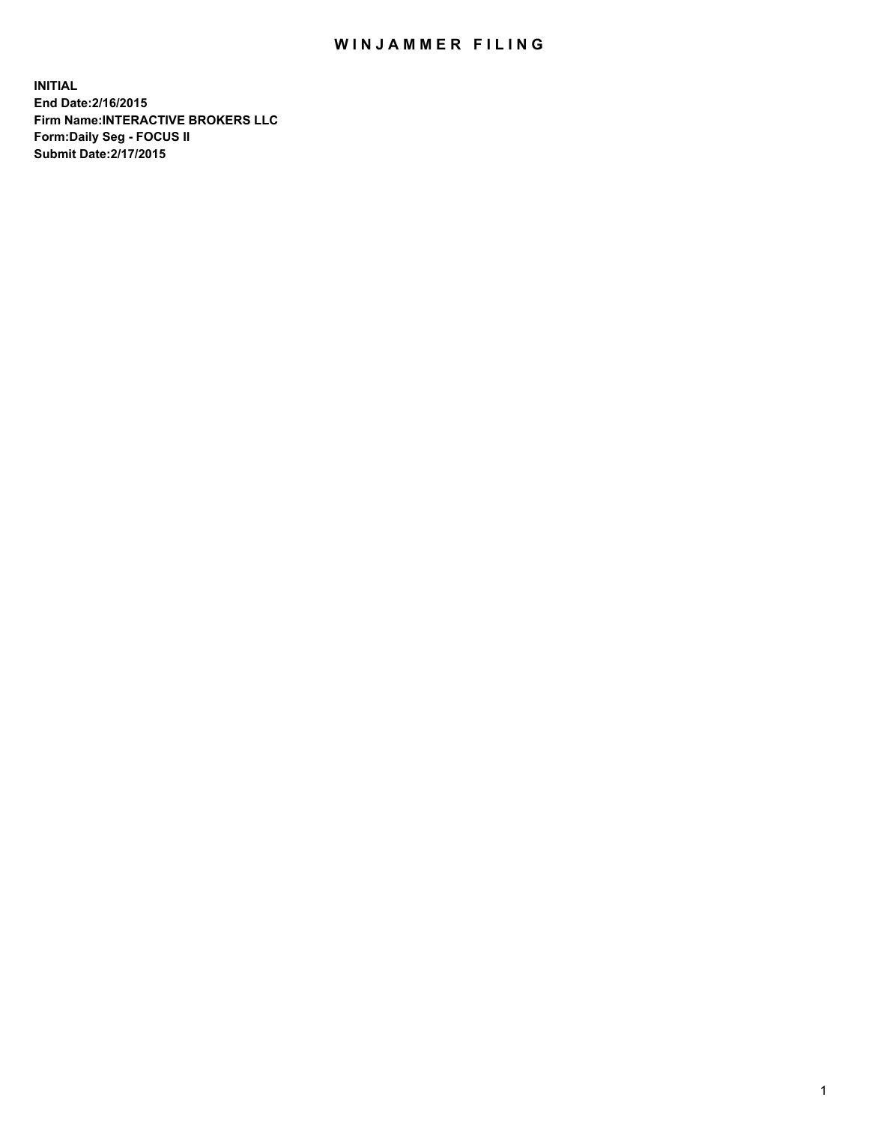## WIN JAMMER FILING

**INITIAL End Date:2/16/2015 Firm Name:INTERACTIVE BROKERS LLC Form:Daily Seg - FOCUS II Submit Date:2/17/2015**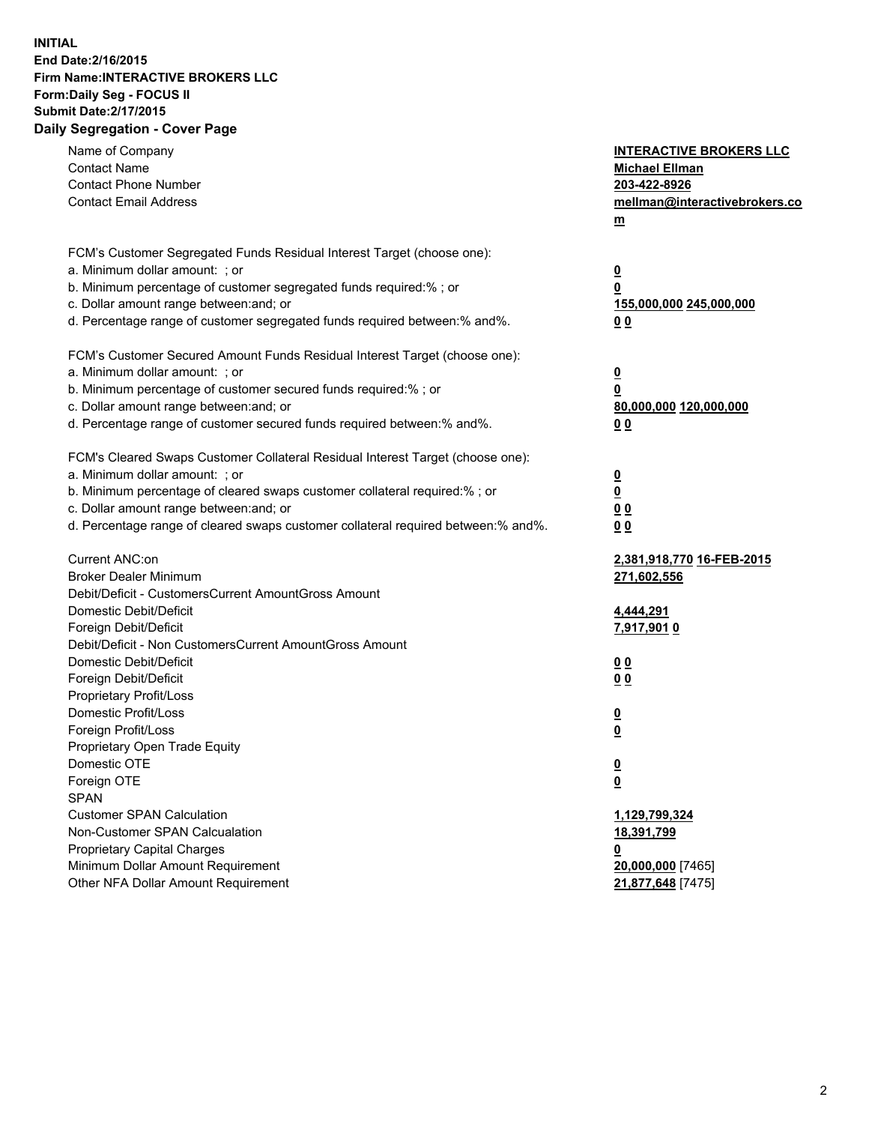## **INITIAL End Date:2/16/2015 Firm Name:INTERACTIVE BROKERS LLC Form:Daily Seg - FOCUS II Submit Date:2/17/2015 Daily Segregation - Cover Page**

| Name of Company<br><b>Contact Name</b><br><b>Contact Phone Number</b><br><b>Contact Email Address</b>                                                                                                                                                                                                                          | <b>INTERACTIVE BROKERS LLC</b><br><b>Michael Ellman</b><br>203-422-8926<br>mellman@interactivebrokers.co<br>$m$ |
|--------------------------------------------------------------------------------------------------------------------------------------------------------------------------------------------------------------------------------------------------------------------------------------------------------------------------------|-----------------------------------------------------------------------------------------------------------------|
| FCM's Customer Segregated Funds Residual Interest Target (choose one):<br>a. Minimum dollar amount: ; or<br>b. Minimum percentage of customer segregated funds required:% ; or<br>c. Dollar amount range between: and; or<br>d. Percentage range of customer segregated funds required between:% and%.                         | <u>0</u><br><u>0</u><br>155,000,000 245,000,000<br>0 <sub>0</sub>                                               |
| FCM's Customer Secured Amount Funds Residual Interest Target (choose one):<br>a. Minimum dollar amount: ; or<br>b. Minimum percentage of customer secured funds required:% ; or<br>c. Dollar amount range between: and; or<br>d. Percentage range of customer secured funds required between:% and%.                           | <u>0</u><br>0<br>80,000,000 120,000,000<br>0 <sub>0</sub>                                                       |
| FCM's Cleared Swaps Customer Collateral Residual Interest Target (choose one):<br>a. Minimum dollar amount: ; or<br>b. Minimum percentage of cleared swaps customer collateral required:% ; or<br>c. Dollar amount range between: and; or<br>d. Percentage range of cleared swaps customer collateral required between:% and%. | $\overline{\mathbf{0}}$<br>$\underline{\mathbf{0}}$<br>0 <sub>0</sub><br>0 <sub>0</sub>                         |
| Current ANC:on<br><b>Broker Dealer Minimum</b><br>Debit/Deficit - CustomersCurrent AmountGross Amount<br>Domestic Debit/Deficit<br>Foreign Debit/Deficit                                                                                                                                                                       | 2,381,918,770 16-FEB-2015<br>271,602,556<br>4,444,291<br>7,917,901 0                                            |
| Debit/Deficit - Non CustomersCurrent AmountGross Amount<br>Domestic Debit/Deficit<br>Foreign Debit/Deficit<br>Proprietary Profit/Loss<br>Domestic Profit/Loss<br>Foreign Profit/Loss                                                                                                                                           | 0 <sub>0</sub><br>0 <sub>0</sub><br><u>0</u><br><u>0</u>                                                        |
| Proprietary Open Trade Equity<br>Domestic OTE<br>Foreign OTE<br><b>SPAN</b><br><b>Customer SPAN Calculation</b>                                                                                                                                                                                                                | <u>0</u><br><u>0</u><br>1,129,799,324                                                                           |
| Non-Customer SPAN Calcualation<br><b>Proprietary Capital Charges</b><br>Minimum Dollar Amount Requirement<br>Other NFA Dollar Amount Requirement                                                                                                                                                                               | <u>18,391,799</u><br><u>0</u><br>20,000,000 [7465]<br>21,877,648 [7475]                                         |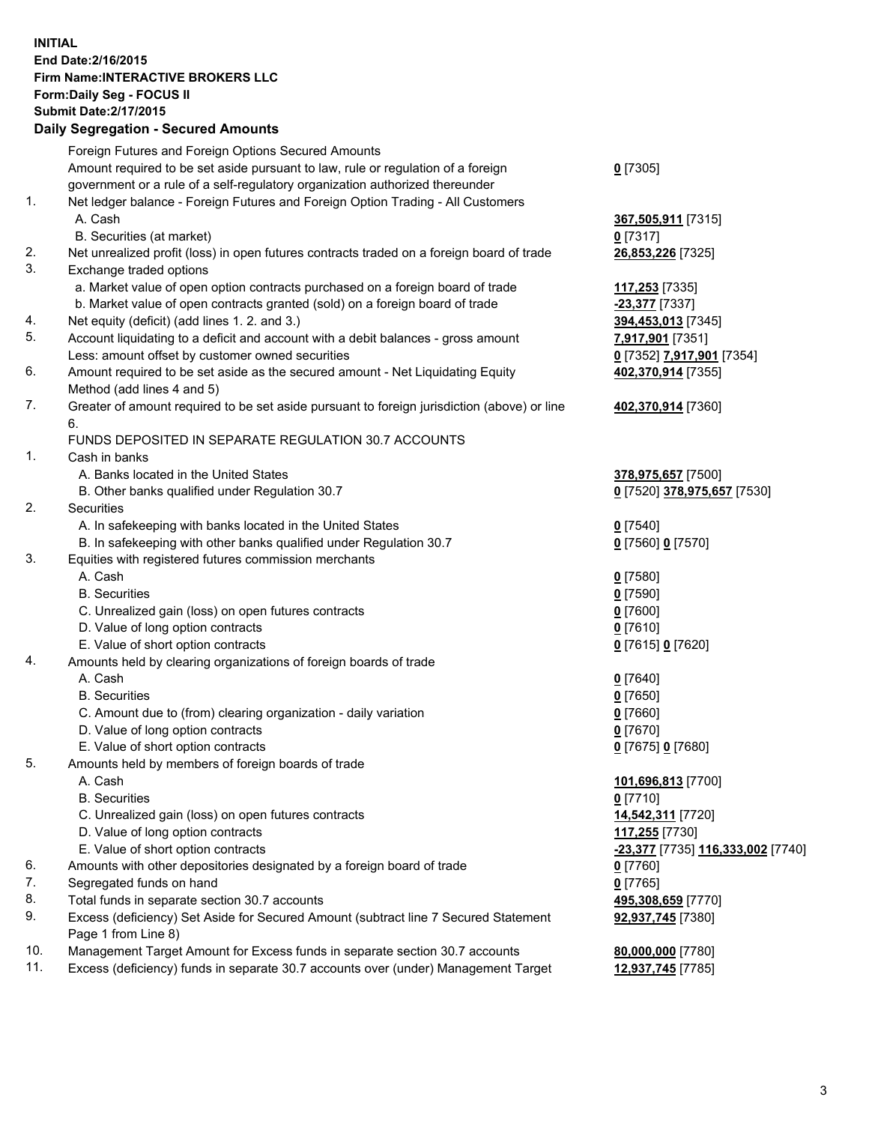## **INITIAL End Date:2/16/2015 Firm Name:INTERACTIVE BROKERS LLC Form:Daily Seg - FOCUS II Submit Date:2/17/2015 Daily Segregation - Secured Amounts**

|     | Daily Jegiegation - Jeculed Aniounts                                                        |                                   |
|-----|---------------------------------------------------------------------------------------------|-----------------------------------|
|     | Foreign Futures and Foreign Options Secured Amounts                                         |                                   |
|     | Amount required to be set aside pursuant to law, rule or regulation of a foreign            | $0$ [7305]                        |
|     | government or a rule of a self-regulatory organization authorized thereunder                |                                   |
| 1.  | Net ledger balance - Foreign Futures and Foreign Option Trading - All Customers             |                                   |
|     | A. Cash                                                                                     | 367,505,911 [7315]                |
|     | B. Securities (at market)                                                                   | $0$ [7317]                        |
| 2.  | Net unrealized profit (loss) in open futures contracts traded on a foreign board of trade   | 26,853,226 [7325]                 |
| 3.  | Exchange traded options                                                                     |                                   |
|     | a. Market value of open option contracts purchased on a foreign board of trade              | 117,253 [7335]                    |
|     | b. Market value of open contracts granted (sold) on a foreign board of trade                | -23,377 [7337]                    |
| 4.  | Net equity (deficit) (add lines 1.2. and 3.)                                                | 394,453,013 [7345]                |
| 5.  | Account liquidating to a deficit and account with a debit balances - gross amount           |                                   |
|     |                                                                                             | <u>7,917,901</u> [7351]           |
| 6.  | Less: amount offset by customer owned securities                                            | 0 [7352] 7,917,901 [7354]         |
|     | Amount required to be set aside as the secured amount - Net Liquidating Equity              | 402,370,914 [7355]                |
|     | Method (add lines 4 and 5)                                                                  |                                   |
| 7.  | Greater of amount required to be set aside pursuant to foreign jurisdiction (above) or line | 402,370,914 [7360]                |
|     | 6.                                                                                          |                                   |
|     | FUNDS DEPOSITED IN SEPARATE REGULATION 30.7 ACCOUNTS                                        |                                   |
| 1.  | Cash in banks                                                                               |                                   |
|     | A. Banks located in the United States                                                       | 378,975,657 [7500]                |
|     | B. Other banks qualified under Regulation 30.7                                              | 0 [7520] 378,975,657 [7530]       |
| 2.  | Securities                                                                                  |                                   |
|     | A. In safekeeping with banks located in the United States                                   | $Q$ [7540]                        |
|     | B. In safekeeping with other banks qualified under Regulation 30.7                          | 0 [7560] 0 [7570]                 |
| 3.  | Equities with registered futures commission merchants                                       |                                   |
|     | A. Cash                                                                                     | $0$ [7580]                        |
|     | <b>B.</b> Securities                                                                        | $0$ [7590]                        |
|     | C. Unrealized gain (loss) on open futures contracts                                         | $0$ [7600]                        |
|     | D. Value of long option contracts                                                           | $0$ [7610]                        |
|     | E. Value of short option contracts                                                          | 0 [7615] 0 [7620]                 |
| 4.  | Amounts held by clearing organizations of foreign boards of trade                           |                                   |
|     | A. Cash                                                                                     | $0$ [7640]                        |
|     | <b>B.</b> Securities                                                                        | $0$ [7650]                        |
|     | C. Amount due to (from) clearing organization - daily variation                             | $0$ [7660]                        |
|     | D. Value of long option contracts                                                           | $0$ [7670]                        |
|     | E. Value of short option contracts                                                          | 0 [7675] 0 [7680]                 |
| 5.  | Amounts held by members of foreign boards of trade                                          |                                   |
|     | A. Cash                                                                                     | 101,696,813 [7700]                |
|     | <b>B.</b> Securities                                                                        | $0$ [7710]                        |
|     | C. Unrealized gain (loss) on open futures contracts                                         | 14,542,311 [7720]                 |
|     | D. Value of long option contracts                                                           | 117,255 [7730]                    |
|     | E. Value of short option contracts                                                          | -23,377 [7735] 116,333,002 [7740] |
| 6.  | Amounts with other depositories designated by a foreign board of trade                      | 0 [7760]                          |
| 7.  | Segregated funds on hand                                                                    | $0$ [7765]                        |
| 8.  | Total funds in separate section 30.7 accounts                                               | 495,308,659 [7770]                |
| 9.  | Excess (deficiency) Set Aside for Secured Amount (subtract line 7 Secured Statement         | 92,937,745 [7380]                 |
|     | Page 1 from Line 8)                                                                         |                                   |
| 10. | Management Target Amount for Excess funds in separate section 30.7 accounts                 | 80,000,000 [7780]                 |
| 11. | Excess (deficiency) funds in separate 30.7 accounts over (under) Management Target          | 12,937,745 [7785]                 |
|     |                                                                                             |                                   |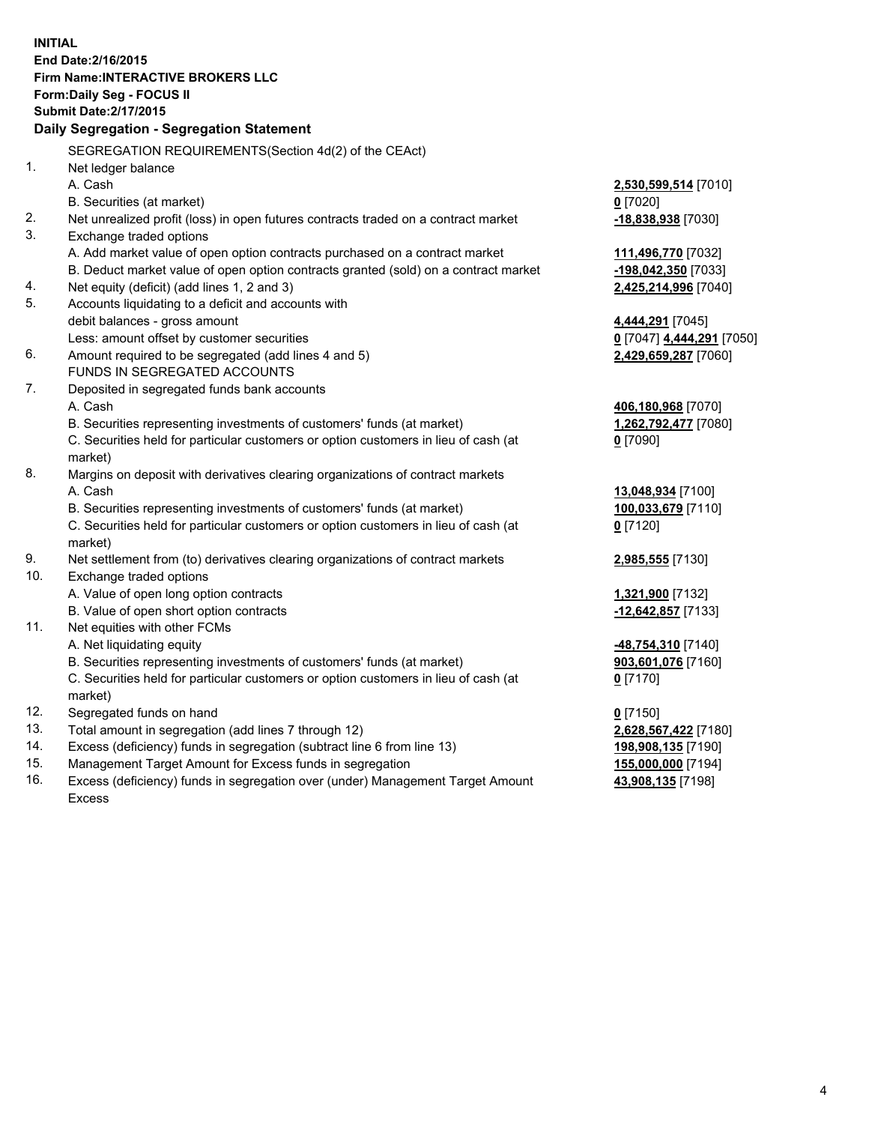**INITIAL End Date:2/16/2015 Firm Name:INTERACTIVE BROKERS LLC Form:Daily Seg - FOCUS II Submit Date:2/17/2015 Daily Segregation - Segregation Statement** SEGREGATION REQUIREMENTS(Section 4d(2) of the CEAct) 1. Net ledger balance A. Cash **2,530,599,514** [7010] B. Securities (at market) **0** [7020] 2. Net unrealized profit (loss) in open futures contracts traded on a contract market 3. Exchange traded options A. Add market value of open option contracts purchased on a contract market B. Deduct market value of open option contracts granted (sold) on a contract market **-198,042,350** [7033] 4. Net equity (deficit) (add lines 1, 2 and 3) **2,425,214,996** [7040] 5. Accounts liquidating to a deficit and accounts with debit balances - gross amount **4,444,291** [7045] Less: amount offset by customer securities **0** [7047] **4,444,291** [7050] 6. Amount required to be segregated (add lines 4 and 5) **2,429,659,287** [7060] FUNDS IN SEGREGATED ACCOUNTS 7. Deposited in segregated funds bank accounts A. Cash **406,180,968** [7070] B. Securities representing investments of customers' funds (at market) **1,262,792,477** [7080] C. Securities held for particular customers or option customers in lieu of cash (at market) **0** [7090] 8. Margins on deposit with derivatives clearing organizations of contract markets A. Cash **13,048,934** [7100] B. Securities representing investments of customers' funds (at market) **100,033,679** [7110] C. Securities held for particular customers or option customers in lieu of cash (at market) **0** [7120] 9. Net settlement from (to) derivatives clearing organizations of contract markets **2,985,555** [7130] 10. Exchange traded options A. Value of open long option contracts **1,321,900** [7132] B. Value of open short option contracts **-12,642,857** [7133] 11. Net equities with other FCMs A. Net liquidating equity **-48,754,310** [7140] B. Securities representing investments of customers' funds (at market) **903,601,076** [7160] C. Securities held for particular customers or option customers in lieu of cash (at market) **0** [7170] 12. Segregated funds on hand **0** [7150] 13. Total amount in segregation (add lines 7 through 12) **2,628,567,422** [7180] 14. Excess (deficiency) funds in segregation (subtract line 6 from line 13) **198,908,135** [7190] 15. Management Target Amount for Excess funds in segregation **155,000,000** [7194]

16. Excess (deficiency) funds in segregation over (under) Management Target Amount Excess

| <u>⊻</u> ≀ ∪∸∪ j<br><mark>-18,838,938</mark> [7030] |  |
|-----------------------------------------------------|--|
| 111,496,770 [7032]                                  |  |

**43,908,135** [7198]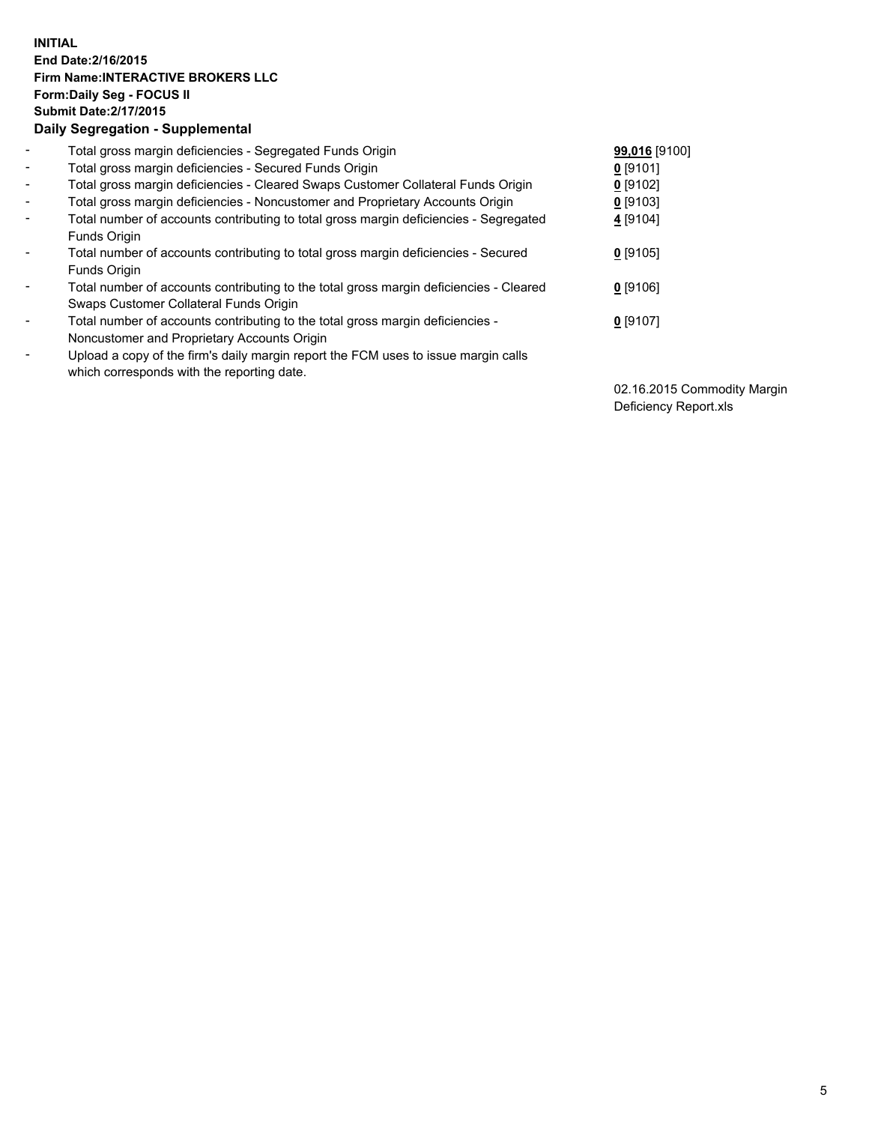## **INITIAL End Date:2/16/2015 Firm Name:INTERACTIVE BROKERS LLC Form:Daily Seg - FOCUS II Submit Date:2/17/2015 Daily Segregation - Supplemental**

| $\blacksquare$               | Total gross margin deficiencies - Segregated Funds Origin                              | 99,016 [9100] |
|------------------------------|----------------------------------------------------------------------------------------|---------------|
| $\sim$                       | Total gross margin deficiencies - Secured Funds Origin                                 | $0$ [9101]    |
| $\blacksquare$               | Total gross margin deficiencies - Cleared Swaps Customer Collateral Funds Origin       | $0$ [9102]    |
| $\blacksquare$               | Total gross margin deficiencies - Noncustomer and Proprietary Accounts Origin          | $0$ [9103]    |
| $\blacksquare$               | Total number of accounts contributing to total gross margin deficiencies - Segregated  | 4 [9104]      |
|                              | Funds Origin                                                                           |               |
| $\blacksquare$               | Total number of accounts contributing to total gross margin deficiencies - Secured     | $0$ [9105]    |
|                              | Funds Origin                                                                           |               |
| $\overline{\phantom{a}}$     | Total number of accounts contributing to the total gross margin deficiencies - Cleared | $0$ [9106]    |
|                              | Swaps Customer Collateral Funds Origin                                                 |               |
| $\overline{\phantom{a}}$     | Total number of accounts contributing to the total gross margin deficiencies -         | $0$ [9107]    |
|                              | Noncustomer and Proprietary Accounts Origin                                            |               |
| $\qquad \qquad \blacksquare$ | Upload a copy of the firm's daily margin report the FCM uses to issue margin calls     |               |
|                              | which corresponds with the reporting date.                                             |               |

02.16.2015 Commodity Margin Deficiency Report.xls